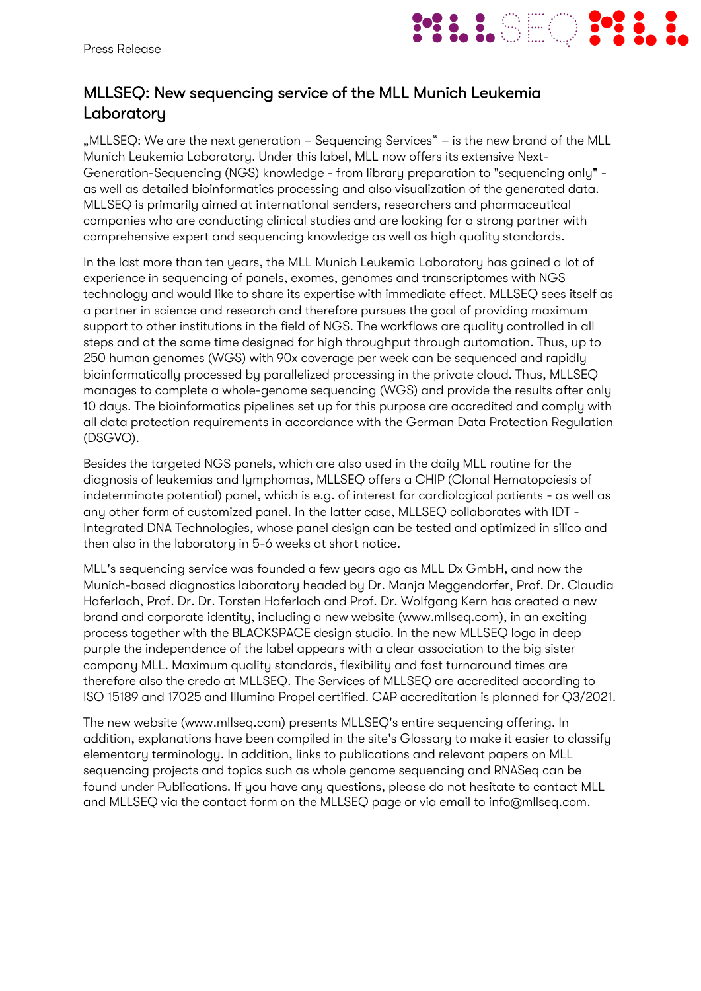

## MLLSEQ: New sequencing service of the MLL Munich Leukemia Laboratory

"MLLSEQ: We are the next generation – Sequencing Services" – is the new brand of the MLL Munich Leukemia Laboratory. Under this label, MLL now offers its extensive Next-Generation-Sequencing (NGS) knowledge - from library preparation to "sequencing only" as well as detailed bioinformatics processing and also visualization of the generated data. MLLSEQ is primarily aimed at international senders, researchers and pharmaceutical companies who are conducting clinical studies and are looking for a strong partner with comprehensive expert and sequencing knowledge as well as high quality standards.

In the last more than ten years, the MLL Munich Leukemia Laboratory has gained a lot of experience in sequencing of panels, exomes, genomes and transcriptomes with NGS technology and would like to share its expertise with immediate effect. MLLSEQ sees itself as a partner in science and research and therefore pursues the goal of providing maximum support to other institutions in the field of NGS. The workflows are quality controlled in all steps and at the same time designed for high throughput through automation. Thus, up to 250 human genomes (WGS) with 90x coverage per week can be sequenced and rapidly bioinformatically processed by parallelized processing in the private cloud. Thus, MLLSEQ manages to complete a whole-genome sequencing (WGS) and provide the results after only 10 days. The bioinformatics pipelines set up for this purpose are accredited and comply with all data protection requirements in accordance with the German Data Protection Regulation (DSGVO).

Besides the targeted NGS panels, which are also used in the daily MLL routine for the diagnosis of leukemias and lymphomas, MLLSEQ offers a CHIP (Clonal Hematopoiesis of indeterminate potential) panel, which is e.g. of interest for cardiological patients - as well as any other form of customized panel. In the latter case, MLLSEQ collaborates with IDT - Integrated DNA Technologies, whose panel design can be tested and optimized in silico and then also in the laboratory in 5-6 weeks at short notice.

MLL's sequencing service was founded a few years ago as MLL Dx GmbH, and now the Munich-based diagnostics laboratory headed by Dr. Manja Meggendorfer, Prof. Dr. Claudia Haferlach, Prof. Dr. Dr. Torsten Haferlach and Prof. Dr. Wolfgang Kern has created a new brand and corporate identity, including a new website (www.mllseq.com), in an exciting process together with the BLACKSPACE design studio. In the new MLLSEQ logo in deep purple the independence of the label appears with a clear association to the big sister company MLL. Maximum quality standards, flexibility and fast turnaround times are therefore also the credo at MLLSEQ. The Services of MLLSEQ are accredited according to ISO 15189 and 17025 and Illumina Propel certified. CAP accreditation is planned for Q3/2021.

The new website (www.mllseq.com) presents MLLSEQ's entire sequencing offering. In addition, explanations have been compiled in the site's Glossary to make it easier to classify elementary terminology. In addition, links to publications and relevant papers on MLL sequencing projects and topics such as whole genome sequencing and RNASeq can be found under Publications. If you have any questions, please do not hesitate to contact MLL and MLLSEQ via the contact form on the MLLSEQ page or via email to info@mllseq.com.